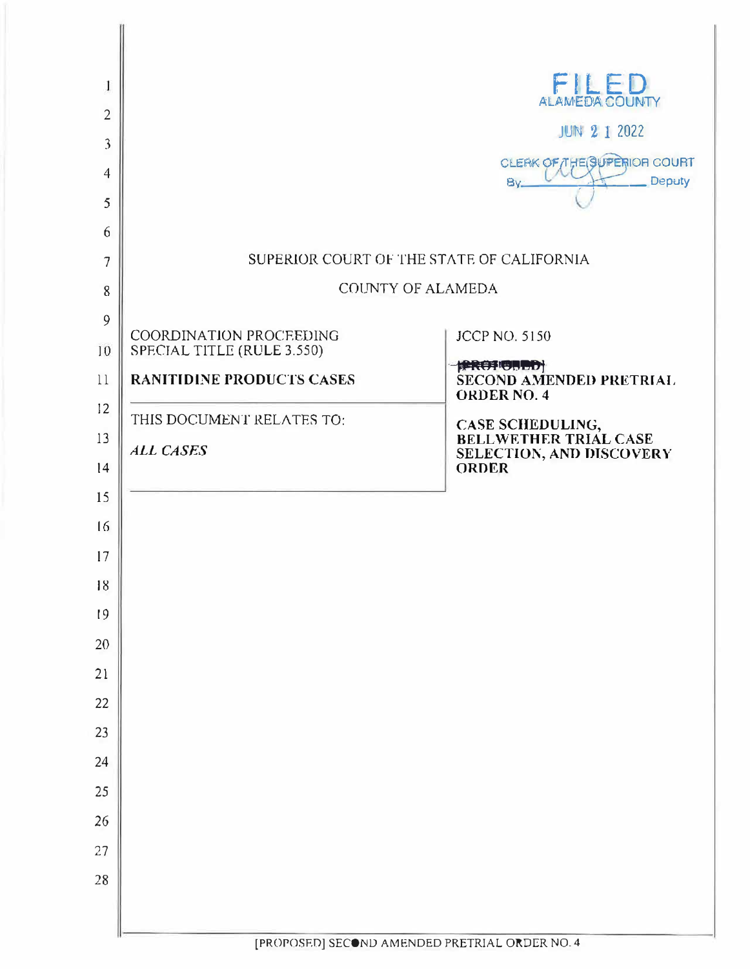| 1                       |                                  | FILED<br>ALAMEDA COUNTY                              |
|-------------------------|----------------------------------|------------------------------------------------------|
| $\overline{2}$          |                                  | <b>JUN 2 1 2022</b>                                  |
| $\overline{\mathbf{3}}$ |                                  | CLEAK OF THE SUPERIOR COURT                          |
| $\overline{4}$          |                                  | Deputy<br>By.                                        |
| 5                       |                                  |                                                      |
| 6                       |                                  |                                                      |
| 7                       |                                  | SUPERIOR COURT OF THE STATE OF CALIFORNIA            |
| 8                       |                                  | COUNTY OF ALAMEDA                                    |
| 9                       | COORDINATION PROCEEDING          | <b>JCCP NO. 5150</b>                                 |
| 10                      | SPECIAL TITLE (RULE 3.550)       | <b>FREEFIGHTED</b>                                   |
| 11<br>12                | <b>RANITIDINE PRODUCTS CASES</b> | <b>SECOND AMENDED PRETRIAL</b><br><b>ORDER NO. 4</b> |
|                         | THIS DOCUMENT RELATES TO:        | <b>CASE SCHEDULING,<br/>BELLWETHER TRIAL CASE</b>    |
| 13<br> 4                | <b>ALL CASES</b>                 | SELECTION, AND DISCOVERY<br><b>ORDER</b>             |
| 15                      |                                  |                                                      |
| 16                      |                                  |                                                      |
| 17                      |                                  |                                                      |
| 18                      |                                  |                                                      |
| 19                      |                                  |                                                      |
| 20                      |                                  |                                                      |
| 21                      |                                  |                                                      |
| 22                      |                                  |                                                      |
| 23                      |                                  |                                                      |
| 24                      |                                  |                                                      |
| 25                      |                                  |                                                      |
| 26                      |                                  |                                                      |
| 27                      |                                  |                                                      |
| 28                      |                                  |                                                      |
|                         |                                  |                                                      |
|                         |                                  |                                                      |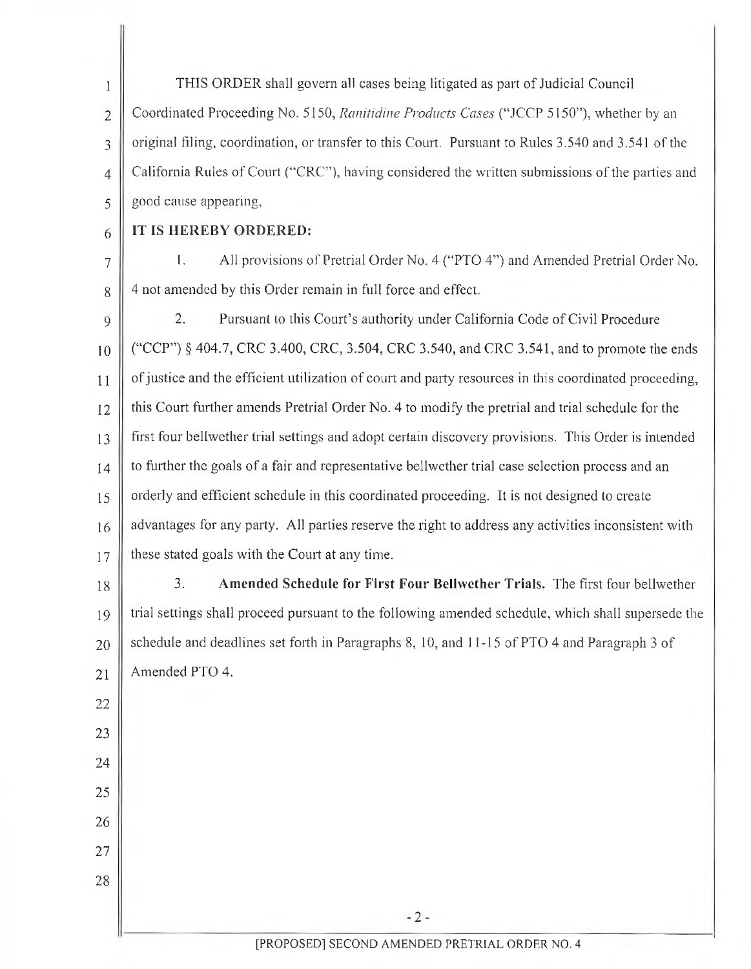1  $\overline{2}$ 3 4 5 THIS ORDER shall govern all cases being litigated as part of Judicial Council Coordinated Proceeding No. 5150, *Ranitidine Products Cases* ("JCCP 5150"), whether by an original filing, coordination, or transfer to this Court. Pursuant to Rules 3.540 and 3.541 ofthe California Rules of Court ("CRC"), having considered the written submissions of the parties and good cause appearing,

## 6 **IT IS HEREBY ORDERED:**

22

23

24

25

26

27

28

7 8 I. All provisions of Pretrial Order No. 4 ("PTO 4") and Amended Pretrial Order No. 4 not amended by this Order remain in full force and effect.

9 10 11 12 13 14 15 16 17 2. Pursuant to this Court's authority under California Code of Civil Procedure ("CCP") § 404.7, CRC 3.400, CRC, 3.504, CRC 3.540, and CRC 3.541, and to promote the ends of justice and the efficient utilization of court and party resources in this coordinated proceeding, this Court further amends Pretrial Order No. 4 to modify the pretrial and trial schedule for the first four bellwether trial settings and adopt certain discovery provisions. This Order is intended to further the goals of a fair and representative bellwether trial case selection process and an orderly and efficient schedule in this coordinated proceeding. It is not designed to create advantages for any party. All parties reserve the right to address any activities inconsistent with these stated goals with the Court at any time.

18 19 20 21 3. **Amended Schedule for First Four Bellwether Trials.** The first four bellwether trial settings shall proceed pursuant to the following amended schedule, which shall supersede the schedule and deadlines set forth in Paragraphs 8, 10, and 11-15 of PTO 4 and Paragraph <sup>3</sup> of Amended PTO 4.

-2-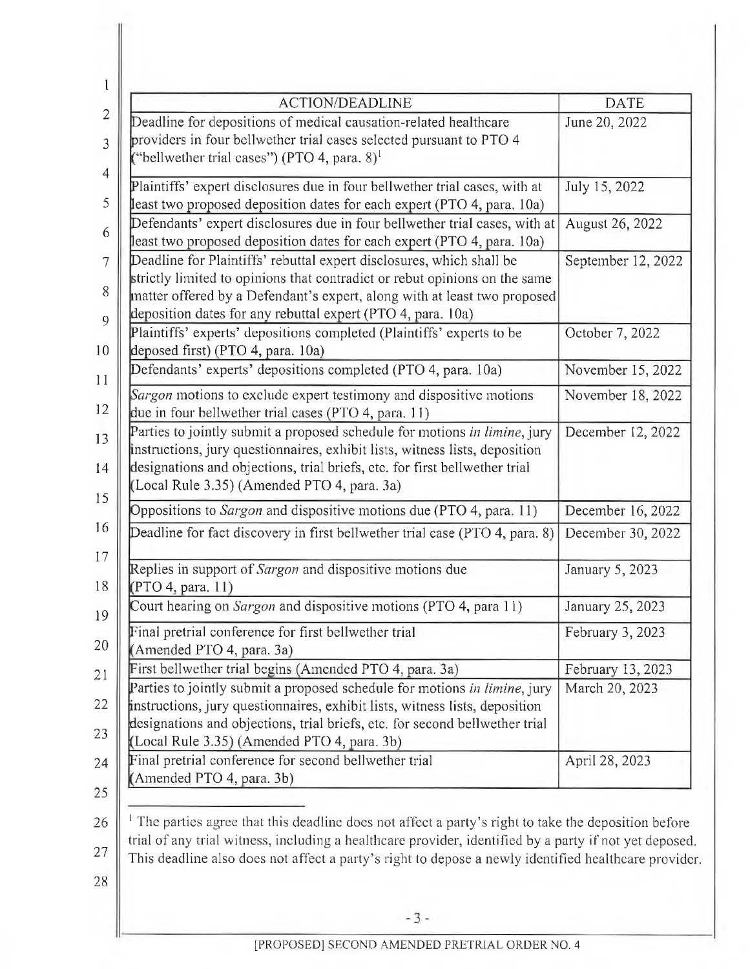| <b>ACTION/DEADLINE</b>                                                                                          | <b>DATE</b>        |  |  |
|-----------------------------------------------------------------------------------------------------------------|--------------------|--|--|
| Deadline for depositions of medical causation-related healthcare                                                | June 20, 2022      |  |  |
| providers in four bellwether trial cases selected pursuant to PTO 4                                             |                    |  |  |
| ("bellwether trial cases") (PTO 4, para. $8$ ) <sup>1</sup>                                                     |                    |  |  |
| Plaintiffs' expert disclosures due in four bellwether trial cases, with at                                      | July 15, 2022      |  |  |
| least two proposed deposition dates for each expert (PTO 4, para. 10a)                                          |                    |  |  |
| Defendants' expert disclosures due in four bellwether trial cases, with at                                      | August 26, 2022    |  |  |
| least two proposed deposition dates for each expert (PTO 4, para. 10a)                                          |                    |  |  |
| Deadline for Plaintiffs' rebuttal expert disclosures, which shall be                                            | September 12, 2022 |  |  |
| strictly limited to opinions that contradict or rebut opinions on the same                                      |                    |  |  |
| matter offered by a Defendant's expert, along with at least two proposed                                        |                    |  |  |
| deposition dates for any rebuttal expert (PTO 4, para. 10a)                                                     |                    |  |  |
| Plaintiffs' experts' depositions completed (Plaintiffs' experts to be                                           | October 7, 2022    |  |  |
| deposed first) (PTO 4, para. 10a)                                                                               |                    |  |  |
| Defendants' experts' depositions completed (PTO 4, para. 10a)                                                   | November 15, 2022  |  |  |
| Sargon motions to exclude expert testimony and dispositive motions                                              | November 18, 2022  |  |  |
| due in four bellwether trial cases (PTO 4, para. 11)                                                            |                    |  |  |
| Parties to jointly submit a proposed schedule for motions in limine, jury                                       | December 12, 2022  |  |  |
| instructions, jury questionnaires, exhibit lists, witness lists, deposition                                     |                    |  |  |
| designations and objections, trial briefs, etc. for first bellwether trial                                      |                    |  |  |
| (Local Rule 3.35) (Amended PTO 4, para. 3a)                                                                     |                    |  |  |
| Oppositions to Sargon and dispositive motions due (PTO 4, para. 11)                                             | December 16, 2022  |  |  |
| Deadline for fact discovery in first bellwether trial case (PTO 4, para. 8)                                     | December 30, 2022  |  |  |
|                                                                                                                 |                    |  |  |
| Replies in support of Sargon and dispositive motions due                                                        | January 5, 2023    |  |  |
| (PTO 4, para. 11)                                                                                               |                    |  |  |
| Court hearing on Sargon and dispositive motions (PTO 4, para 11)                                                | January 25, 2023   |  |  |
| Final pretrial conference for first bellwether trial                                                            | February 3, 2023   |  |  |
| (Amended PTO 4, para. 3a)                                                                                       |                    |  |  |
| First bellwether trial begins (Amended PTO 4, para. 3a)                                                         | February 13, 2023  |  |  |
| Parties to jointly submit a proposed schedule for motions in limine, jury                                       | March 20, 2023     |  |  |
| instructions, jury questionnaires, exhibit lists, witness lists, deposition                                     |                    |  |  |
| designations and objections, trial briefs, etc. for second bellwether trial                                     |                    |  |  |
| (Local Rule 3.35) (Amended PTO 4, para. 3b)                                                                     |                    |  |  |
| Final pretrial conference for second bellwether trial                                                           | April 28, 2023     |  |  |
| (Amended PTO 4, para. 3b)                                                                                       |                    |  |  |
|                                                                                                                 |                    |  |  |
| <sup>1</sup> The parties agree that this deadline does not affect a party's right to take the deposition before |                    |  |  |
| trial of any trial witness, including a healthcare provider, identified by a party if not yet deposed.          |                    |  |  |
| This deadline also does not affect a party's right to depose a newly identified healthcare provider             |                    |  |  |
|                                                                                                                 |                    |  |  |
| $-3-$                                                                                                           |                    |  |  |
|                                                                                                                 |                    |  |  |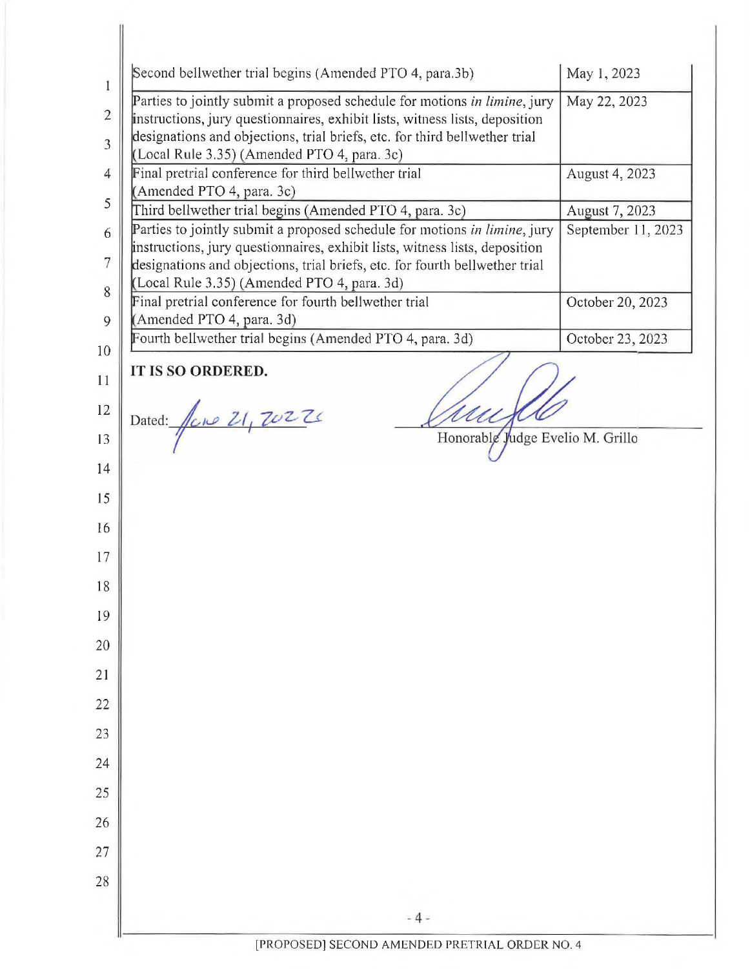| Second bellwether trial begins (Amended PTO 4, para.3b)                                                                                                                                                                                                                                |                                  | May 1, 2023      |
|----------------------------------------------------------------------------------------------------------------------------------------------------------------------------------------------------------------------------------------------------------------------------------------|----------------------------------|------------------|
| Parties to jointly submit a proposed schedule for motions in limine, jury<br>instructions, jury questionnaires, exhibit lists, witness lists, deposition<br>designations and objections, trial briefs, etc. for third bellwether trial<br>(Local Rule 3.35) (Amended PTO 4, para. 3c)  |                                  | May 22, 2023     |
| Final pretrial conference for third bellwether trial                                                                                                                                                                                                                                   | August 4, 2023                   |                  |
| (Amended PTO 4, para. 3c)<br>Third bellwether trial begins (Amended PTO 4, para. 3c)                                                                                                                                                                                                   |                                  | August 7, 2023   |
| Parties to jointly submit a proposed schedule for motions in limine, jury<br>instructions, jury questionnaires, exhibit lists, witness lists, deposition<br>designations and objections, trial briefs, etc. for fourth bellwether trial<br>(Local Rule 3.35) (Amended PTO 4, para. 3d) | September 11, 2023               |                  |
| Final pretrial conference for fourth bellwether trial                                                                                                                                                                                                                                  |                                  | October 20, 2023 |
| (Amended PTO 4, para. 3d)                                                                                                                                                                                                                                                              |                                  |                  |
| Fourth bellwether trial begins (Amended PTO 4, para. 3d)                                                                                                                                                                                                                               |                                  | October 23, 2023 |
| IT IS SO ORDERED.                                                                                                                                                                                                                                                                      |                                  |                  |
| Dated: fine 21, 70226                                                                                                                                                                                                                                                                  |                                  |                  |
|                                                                                                                                                                                                                                                                                        |                                  |                  |
|                                                                                                                                                                                                                                                                                        | Honorable Judge Evelio M. Grillo |                  |
|                                                                                                                                                                                                                                                                                        |                                  |                  |
|                                                                                                                                                                                                                                                                                        |                                  |                  |
|                                                                                                                                                                                                                                                                                        |                                  |                  |
|                                                                                                                                                                                                                                                                                        |                                  |                  |
|                                                                                                                                                                                                                                                                                        |                                  |                  |
|                                                                                                                                                                                                                                                                                        |                                  |                  |
|                                                                                                                                                                                                                                                                                        |                                  |                  |
|                                                                                                                                                                                                                                                                                        |                                  |                  |
|                                                                                                                                                                                                                                                                                        |                                  |                  |
|                                                                                                                                                                                                                                                                                        |                                  |                  |
|                                                                                                                                                                                                                                                                                        |                                  |                  |
|                                                                                                                                                                                                                                                                                        |                                  |                  |
|                                                                                                                                                                                                                                                                                        |                                  |                  |
|                                                                                                                                                                                                                                                                                        |                                  |                  |
|                                                                                                                                                                                                                                                                                        |                                  |                  |
|                                                                                                                                                                                                                                                                                        |                                  |                  |

 $\parallel$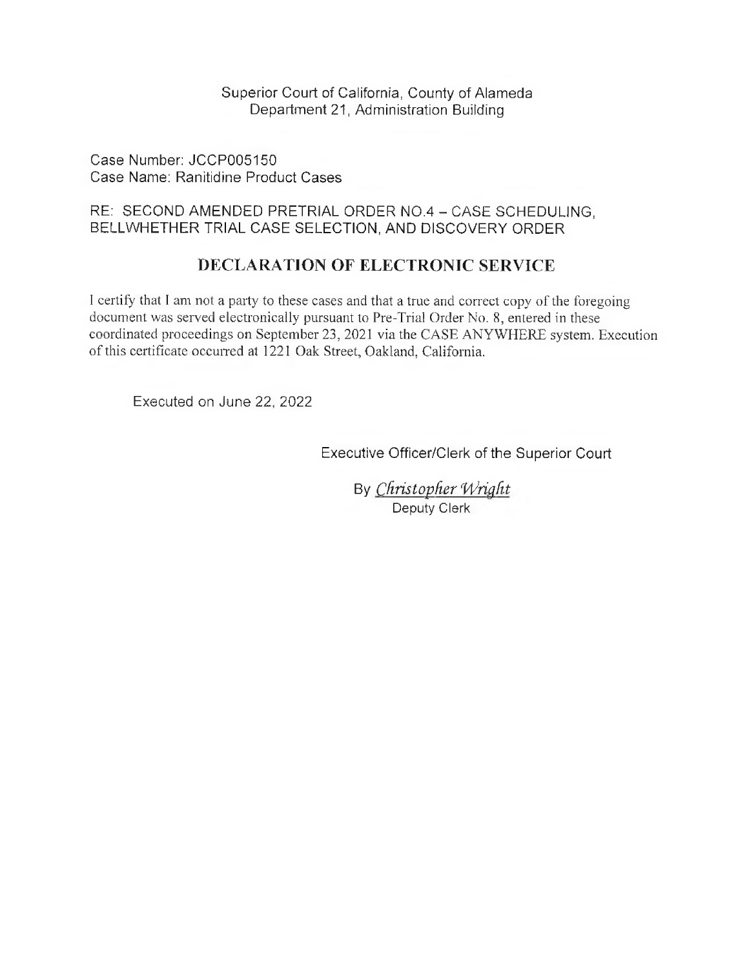Superior Court of California, County of Alameda Department 21, Administration Building

Case Number: JCCP005150 Case Name: Ranitidine Product Cases

## RE: SECOND AMENDED PRETRIAL ORDER NO.4 - CASE SCHEDULING, BELLWHETHER TRIAL CASE SELECTION, AND DISCOVERY ORDER

## **DECLARATION OF ELECTRONIC SERVICE**

<sup>1</sup> certify that <sup>I</sup> am not a party to these cases and that a true and correct copy ofthe foregoing document was served electronically pursuant to Pre-Trial Order No. 8, entered in these coordinated proceedings on September 23, 2021 via the CASE ANYWHERE system. Execution of this certificate occurred at 1221 Oak Street, Oakland, California.

Executed on June 22, 2022

Executive Officer/Clerk of the Superior Court

By *Christopher Wright* Deputy Clerk